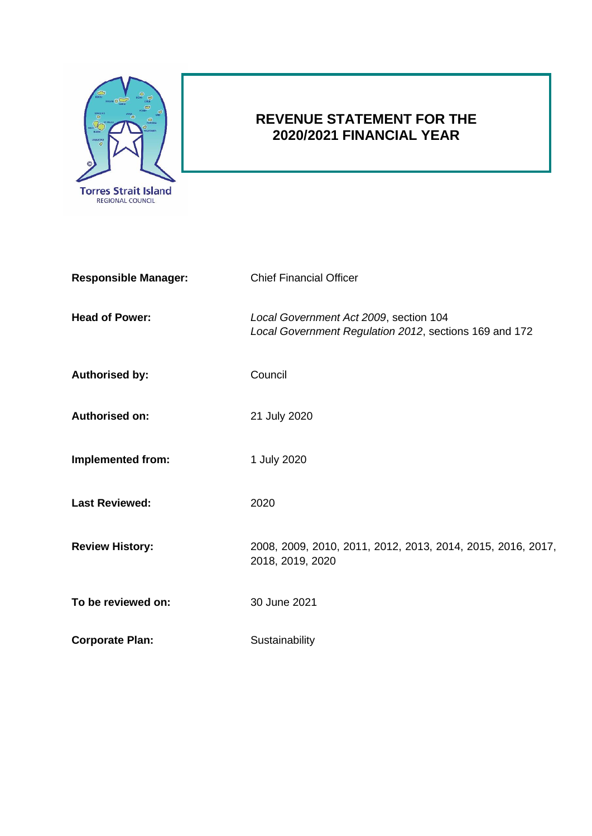

# **REVENUE STATEMENT FOR THE 2020/2021 FINANCIAL YEAR**

| <b>Responsible Manager:</b> | <b>Chief Financial Officer</b>                                                                   |  |
|-----------------------------|--------------------------------------------------------------------------------------------------|--|
| <b>Head of Power:</b>       | Local Government Act 2009, section 104<br>Local Government Regulation 2012, sections 169 and 172 |  |
| <b>Authorised by:</b>       | Council                                                                                          |  |
| Authorised on:              | 21 July 2020                                                                                     |  |
| <b>Implemented from:</b>    | 1 July 2020                                                                                      |  |
| <b>Last Reviewed:</b>       | 2020                                                                                             |  |
| <b>Review History:</b>      | 2008, 2009, 2010, 2011, 2012, 2013, 2014, 2015, 2016, 2017,<br>2018, 2019, 2020                  |  |
| To be reviewed on:          | 30 June 2021                                                                                     |  |
| <b>Corporate Plan:</b>      | Sustainability                                                                                   |  |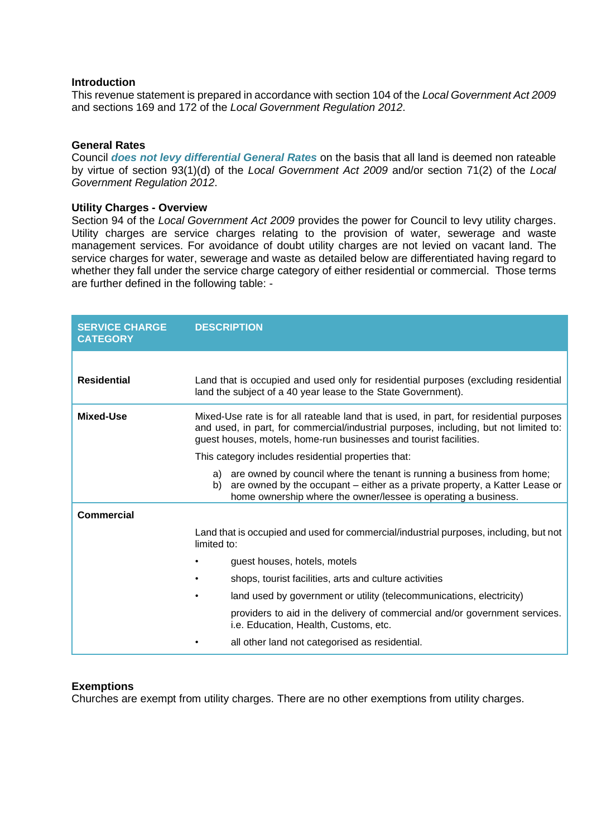# **Introduction**

This revenue statement is prepared in accordance with section 104 of the *Local Government Act 2009* and sections 169 and 172 of the *Local Government Regulation 2012*.

## **General Rates**

Council *does not levy differential General Rates* on the basis that all land is deemed non rateable by virtue of section 93(1)(d) of the *Local Government Act 2009* and/or section 71(2) of the *Local Government Regulation 2012*.

#### **Utility Charges - Overview**

Section 94 of the *Local Government Act 2009* provides the power for Council to levy utility charges. Utility charges are service charges relating to the provision of water, sewerage and waste management services. For avoidance of doubt utility charges are not levied on vacant land. The service charges for water, sewerage and waste as detailed below are differentiated having regard to whether they fall under the service charge category of either residential or commercial. Those terms are further defined in the following table: -

| <b>SERVICE CHARGE</b><br><b>CATEGORY</b> | <b>DESCRIPTION</b>                                                                                                                                                                                                                                    |  |  |
|------------------------------------------|-------------------------------------------------------------------------------------------------------------------------------------------------------------------------------------------------------------------------------------------------------|--|--|
|                                          |                                                                                                                                                                                                                                                       |  |  |
| <b>Residential</b>                       | Land that is occupied and used only for residential purposes (excluding residential<br>land the subject of a 40 year lease to the State Government).                                                                                                  |  |  |
| Mixed-Use                                | Mixed-Use rate is for all rateable land that is used, in part, for residential purposes<br>and used, in part, for commercial/industrial purposes, including, but not limited to:<br>guest houses, motels, home-run businesses and tourist facilities. |  |  |
|                                          | This category includes residential properties that:                                                                                                                                                                                                   |  |  |
|                                          | a) are owned by council where the tenant is running a business from home;<br>are owned by the occupant – either as a private property, a Katter Lease or<br>b)<br>home ownership where the owner/lessee is operating a business.                      |  |  |
| Commercial                               |                                                                                                                                                                                                                                                       |  |  |
|                                          | Land that is occupied and used for commercial/industrial purposes, including, but not<br>limited to:                                                                                                                                                  |  |  |
|                                          | guest houses, hotels, motels                                                                                                                                                                                                                          |  |  |
|                                          | shops, tourist facilities, arts and culture activities                                                                                                                                                                                                |  |  |
|                                          | land used by government or utility (telecommunications, electricity)                                                                                                                                                                                  |  |  |
|                                          | providers to aid in the delivery of commercial and/or government services.<br>i.e. Education, Health, Customs, etc.                                                                                                                                   |  |  |
|                                          | all other land not categorised as residential.                                                                                                                                                                                                        |  |  |

## **Exemptions**

Churches are exempt from utility charges. There are no other exemptions from utility charges.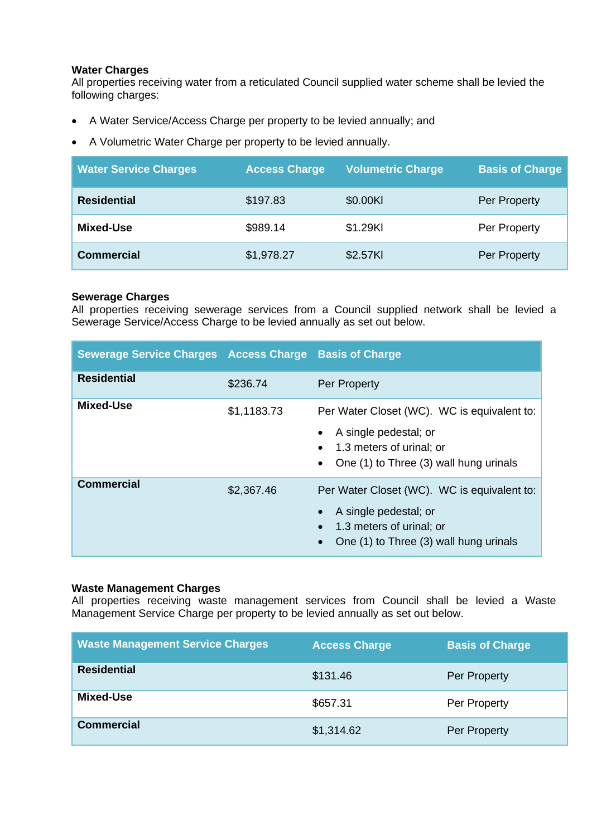# **Water Charges**

All properties receiving water from a reticulated Council supplied water scheme shall be levied the following charges:

- A Water Service/Access Charge per property to be levied annually; and
- A Volumetric Water Charge per property to be levied annually.

| <b>Water Service Charges</b> | <b>Access Charge</b> | <b>Volumetric Charge</b> | <b>Basis of Charge</b> |
|------------------------------|----------------------|--------------------------|------------------------|
| <b>Residential</b>           | \$197.83             | \$0.00KI                 | Per Property           |
| Mixed-Use                    | \$989.14             | \$1.29KI                 | Per Property           |
| <b>Commercial</b>            | \$1,978.27           | \$2.57KI                 | Per Property           |

# **Sewerage Charges**

All properties receiving sewerage services from a Council supplied network shall be levied a Sewerage Service/Access Charge to be levied annually as set out below.

| <b>Sewerage Service Charges Access Charge</b> |             | <b>Basis of Charge</b>                                                                                                                     |  |
|-----------------------------------------------|-------------|--------------------------------------------------------------------------------------------------------------------------------------------|--|
| <b>Residential</b>                            | \$236.74    | Per Property                                                                                                                               |  |
| Mixed-Use                                     | \$1,1183.73 | Per Water Closet (WC). WC is equivalent to:<br>A single pedestal; or<br>1.3 meters of urinal; or<br>One (1) to Three (3) wall hung urinals |  |
| <b>Commercial</b>                             | \$2,367.46  | Per Water Closet (WC). WC is equivalent to:<br>A single pedestal; or<br>1.3 meters of urinal; or<br>One (1) to Three (3) wall hung urinals |  |

# **Waste Management Charges**

All properties receiving waste management services from Council shall be levied a Waste Management Service Charge per property to be levied annually as set out below.

| <b>Waste Management Service Charges</b> | <b>Access Charge</b> | <b>Basis of Charge</b> |
|-----------------------------------------|----------------------|------------------------|
| <b>Residential</b>                      | \$131.46             | Per Property           |
| Mixed-Use                               | \$657.31             | Per Property           |
| <b>Commercial</b>                       | \$1,314.62           | Per Property           |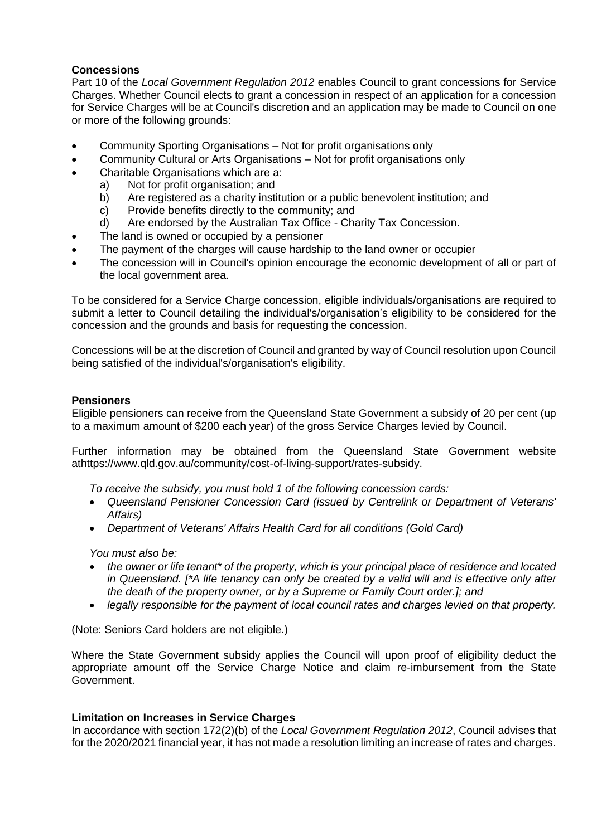# **Concessions**

Part 10 of the *Local Government Regulation 2012* enables Council to grant concessions for Service Charges. Whether Council elects to grant a concession in respect of an application for a concession for Service Charges will be at Council's discretion and an application may be made to Council on one or more of the following grounds:

- Community Sporting Organisations Not for profit organisations only
- Community Cultural or Arts Organisations Not for profit organisations only
- Charitable Organisations which are a:
	- a) Not for profit organisation; and
	- b) Are registered as a charity institution or a public benevolent institution; and
	- c) Provide benefits directly to the community; and
	- d) Are endorsed by the Australian Tax Office Charity Tax Concession.
- The land is owned or occupied by a pensioner
- The payment of the charges will cause hardship to the land owner or occupier
- The concession will in Council's opinion encourage the economic development of all or part of the local government area.

To be considered for a Service Charge concession, eligible individuals/organisations are required to submit a letter to Council detailing the individual's/organisation's eligibility to be considered for the concession and the grounds and basis for requesting the concession.

Concessions will be at the discretion of Council and granted by way of Council resolution upon Council being satisfied of the individual's/organisation's eligibility.

# **Pensioners**

Eligible pensioners can receive from the Queensland State Government a subsidy of 20 per cent (up to a maximum amount of \$200 each year) of the gross Service Charges levied by Council.

Further information may be obtained from the Queensland State Government website athttps://www.qld.gov.au/community/cost-of-living-support/rates-subsidy.

*To receive the subsidy, you must hold 1 of the following concession cards:*

- *Queensland Pensioner Concession Card (issued by Centrelink or Department of Veterans' Affairs)*
- *Department of Veterans' Affairs Health Card for all conditions (Gold Card)*

*You must also be:*

- *the owner or life tenant\* of the property, which is your principal place of residence and located in Queensland. [\*A life tenancy can only be created by a valid will and is effective only after the death of the property owner, or by a Supreme or Family Court order.]; and*
- *legally responsible for the payment of local council rates and charges levied on that property.*

(Note: Seniors Card holders are not eligible.)

Where the State Government subsidy applies the Council will upon proof of eligibility deduct the appropriate amount off the Service Charge Notice and claim re-imbursement from the State Government.

# **Limitation on Increases in Service Charges**

In accordance with section 172(2)(b) of the *Local Government Regulation 2012*, Council advises that for the 2020/2021 financial year, it has not made a resolution limiting an increase of rates and charges.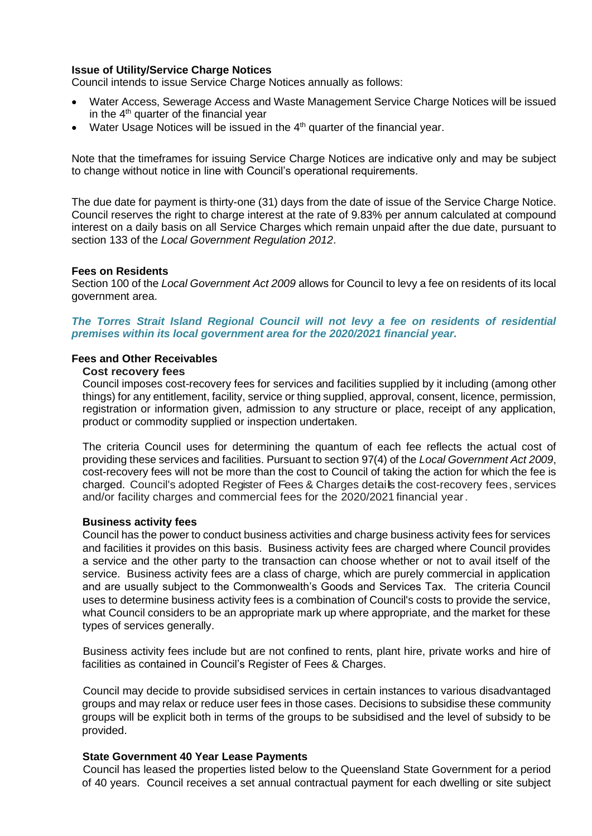# **Issue of Utility/Service Charge Notices**

Council intends to issue Service Charge Notices annually as follows:

- Water Access, Sewerage Access and Waste Management Service Charge Notices will be issued in the  $4<sup>th</sup>$  quarter of the financial year
- $\bullet$  Water Usage Notices will be issued in the  $4<sup>th</sup>$  quarter of the financial year.

Note that the timeframes for issuing Service Charge Notices are indicative only and may be subject to change without notice in line with Council's operational requirements.

The due date for payment is thirty-one (31) days from the date of issue of the Service Charge Notice. Council reserves the right to charge interest at the rate of 9.83% per annum calculated at compound interest on a daily basis on all Service Charges which remain unpaid after the due date, pursuant to section 133 of the *Local Government Regulation 2012*.

# **Fees on Residents**

Section 100 of the *Local Government Act 2009* allows for Council to levy a fee on residents of its local government area.

*The Torres Strait Island Regional Council will not levy a fee on residents of residential premises within its local government area for the 2020/2021 financial year.*

## **Fees and Other Receivables**

#### **Cost recovery fees**

Council imposes cost-recovery fees for services and facilities supplied by it including (among other things) for any entitlement, facility, service or thing supplied, approval, consent, licence, permission, registration or information given, admission to any structure or place, receipt of any application, product or commodity supplied or inspection undertaken.

The criteria Council uses for determining the quantum of each fee reflects the actual cost of providing these services and facilities. Pursuant to section 97(4) of the *Local Government Act 2009*, cost-recovery fees will not be more than the cost to Council of taking the action for which the fee is charged. Council's adopted Register of Fees & Charges details the cost-recovery fees, services and/or facility charges and commercial fees for the 2020/2021 financial year.

## **Business activity fees**

Council has the power to conduct business activities and charge business activity fees for services and facilities it provides on this basis. Business activity fees are charged where Council provides a service and the other party to the transaction can choose whether or not to avail itself of the service. Business activity fees are a class of charge, which are purely commercial in application and are usually subject to the Commonwealth's Goods and Services Tax. The criteria Council uses to determine business activity fees is a combination of Council's costs to provide the service, what Council considers to be an appropriate mark up where appropriate, and the market for these types of services generally.

Business activity fees include but are not confined to rents, plant hire, private works and hire of facilities as contained in Council's Register of Fees & Charges.

Council may decide to provide subsidised services in certain instances to various disadvantaged groups and may relax or reduce user fees in those cases. Decisions to subsidise these community groups will be explicit both in terms of the groups to be subsidised and the level of subsidy to be provided.

## **State Government 40 Year Lease Payments**

Council has leased the properties listed below to the Queensland State Government for a period of 40 years. Council receives a set annual contractual payment for each dwelling or site subject